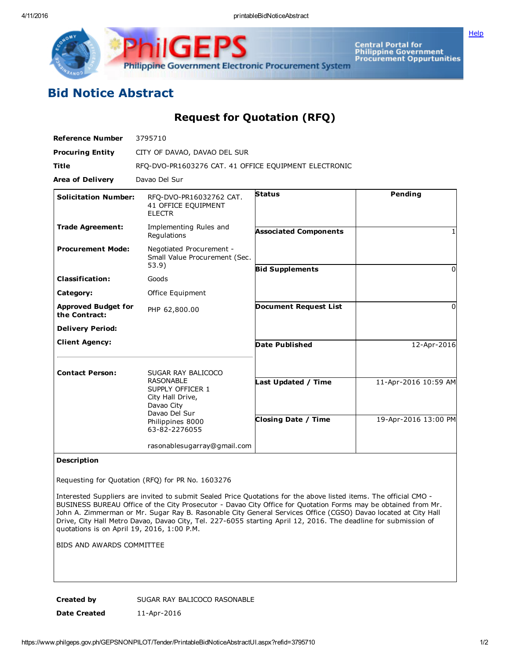Central Portal for<br>Philippine Government<br>Procurement Oppurtunities

**[Help](javascript:void(window.open()** 

## Bid Notice Abstract

Request for Quotation (RFQ)

Philippine Government Electronic Procurement System

| <b>Reference Number</b>                     | 3795710                                                                                 |                              |                      |
|---------------------------------------------|-----------------------------------------------------------------------------------------|------------------------------|----------------------|
| <b>Procuring Entity</b>                     | CITY OF DAVAO, DAVAO DEL SUR                                                            |                              |                      |
| <b>Title</b>                                | RFQ-DVO-PR1603276 CAT. 41 OFFICE EQUIPMENT ELECTRONIC                                   |                              |                      |
| <b>Area of Delivery</b>                     | Davao Del Sur                                                                           |                              |                      |
| <b>Solicitation Number:</b>                 | RFO-DVO-PR16032762 CAT.<br>41 OFFICE EQUIPMENT<br><b>ELECTR</b>                         | <b>Status</b>                | <b>Pending</b>       |
| <b>Trade Agreement:</b>                     | Implementing Rules and<br>Regulations                                                   | <b>Associated Components</b> | 1                    |
| <b>Procurement Mode:</b>                    | Negotiated Procurement -<br>Small Value Procurement (Sec.<br>53.9)                      |                              |                      |
| <b>Classification:</b>                      | Goods                                                                                   | <b>Bid Supplements</b>       | 0                    |
| Category:                                   | Office Equipment                                                                        |                              |                      |
| <b>Approved Budget for</b><br>the Contract: | PHP 62,800.00                                                                           | <b>Document Request List</b> | <sup>0</sup>         |
| <b>Delivery Period:</b>                     |                                                                                         |                              |                      |
| <b>Client Agency:</b>                       |                                                                                         | <b>Date Published</b>        | 12-Apr-2016          |
| <b>Contact Person:</b>                      | SUGAR RAY BALICOCO                                                                      |                              |                      |
|                                             | <b>RASONABLE</b><br>SUPPLY OFFICER 1<br>City Hall Drive,<br>Davao City<br>Davao Del Sur | Last Updated / Time          | 11-Apr-2016 10:59 AM |
|                                             | Philippines 8000<br>63-82-2276055                                                       | <b>Closing Date / Time</b>   | 19-Apr-2016 13:00 PM |
|                                             | rasonablesugarray@gmail.com                                                             |                              |                      |

## Description

Requesting for Quotation (RFQ) for PR No. 1603276

Interested Suppliers are invited to submit Sealed Price Quotations for the above listed items. The official CMO BUSINESS BUREAU Office of the City Prosecutor - Davao City Office for Quotation Forms may be obtained from Mr. John A. Zimmerman or Mr. Sugar Ray B. Rasonable City General Services Office (CGSO) Davao located at City Hall Drive, City Hall Metro Davao, Davao City, Tel. 227-6055 starting April 12, 2016. The deadline for submission of quotations is on April 19, 2016, 1:00 P.M.

BIDS AND AWARDS COMMITTEE

Created by SUGAR RAY BALICOCO RASONABLE Date Created 11-Apr-2016